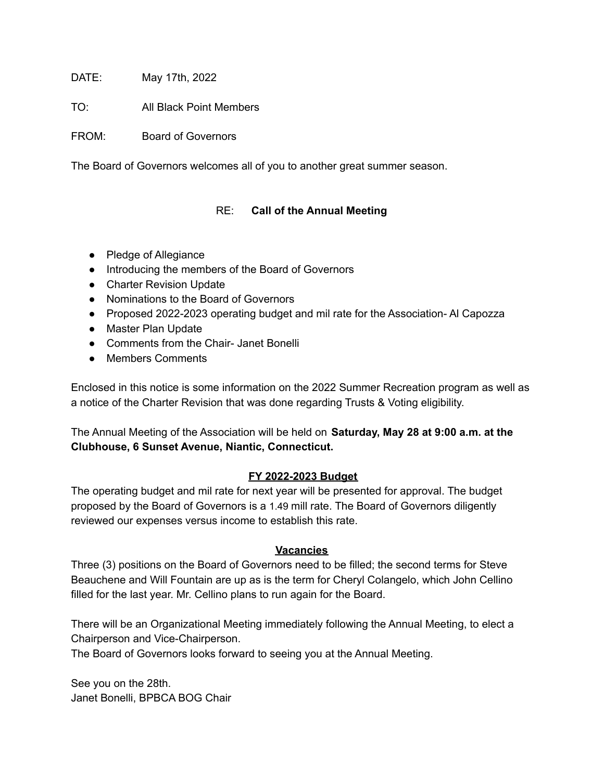DATE: May 17th, 2022

TO: All Black Point Members

FROM: Board of Governors

The Board of Governors welcomes all of you to another great summer season.

# RE: **Call of the Annual Meeting**

- Pledge of Allegiance
- Introducing the members of the Board of Governors
- Charter Revision Update
- Nominations to the Board of Governors
- Proposed 2022-2023 operating budget and mil rate for the Association- Al Capozza
- Master Plan Update
- Comments from the Chair- Janet Bonelli
- Members Comments

Enclosed in this notice is some information on the 2022 Summer Recreation program as well as a notice of the Charter Revision that was done regarding Trusts & Voting eligibility.

The Annual Meeting of the Association will be held on **Saturday, May 28 at 9:00 a.m. at the Clubhouse, 6 Sunset Avenue, Niantic, Connecticut.**

# **FY 2022-2023 Budget**

The operating budget and mil rate for next year will be presented for approval. The budget proposed by the Board of Governors is a 1.49 mill rate. The Board of Governors diligently reviewed our expenses versus income to establish this rate.

# **Vacancies**

Three (3) positions on the Board of Governors need to be filled; the second terms for Steve Beauchene and Will Fountain are up as is the term for Cheryl Colangelo, which John Cellino filled for the last year. Mr. Cellino plans to run again for the Board.

There will be an Organizational Meeting immediately following the Annual Meeting, to elect a Chairperson and Vice-Chairperson.

The Board of Governors looks forward to seeing you at the Annual Meeting.

See you on the 28th. Janet Bonelli, BPBCA BOG Chair